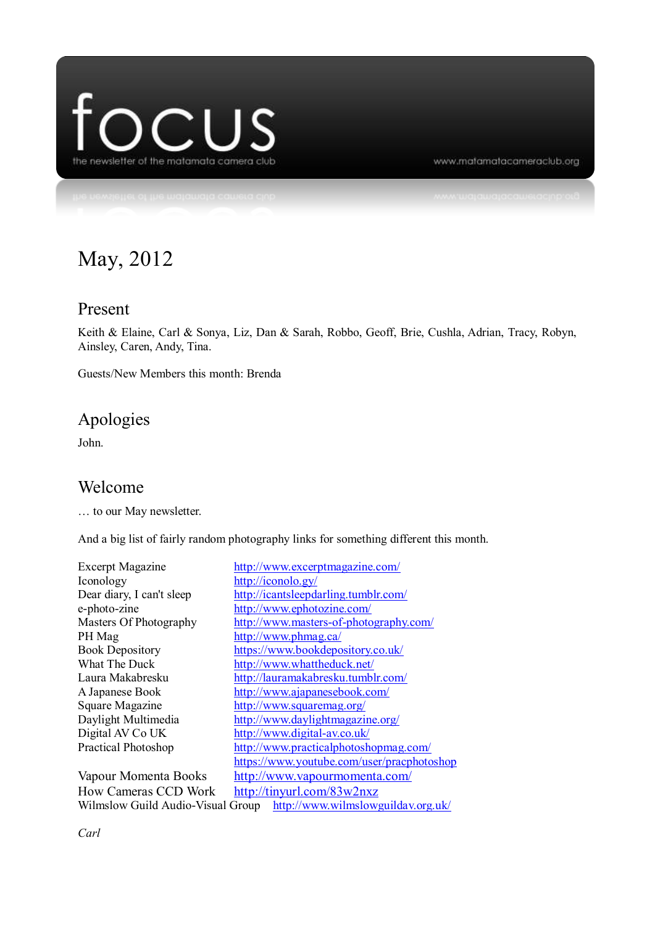

www.matamatacameraclub.org

# May, 2012

#### Present

Keith & Elaine, Carl & Sonya, Liz, Dan & Sarah, Robbo, Geoff, Brie, Cushla, Adrian, Tracy, Robyn, Ainsley, Caren, Andy, Tina.

Guests/New Members this month: Brenda

# Apologies

John.

#### Welcome

… to our May newsletter.

And a big list of fairly random photography links for something different this month.

| <b>Excerpt Magazine</b>                                                 | http://www.excerptmagazine.com/            |
|-------------------------------------------------------------------------|--------------------------------------------|
| Iconology                                                               | http://iconolo.gy/                         |
| Dear diary, I can't sleep                                               | http://icantsleepdarling.tumblr.com/       |
| e-photo-zine                                                            | http://www.ephotozine.com/                 |
| Masters Of Photography                                                  | http://www.masters-of-photography.com/     |
| PH Mag                                                                  | http://www.phmag.ca/                       |
| <b>Book Depository</b>                                                  | https://www.bookdepository.co.uk/          |
| What The Duck                                                           | http://www.whattheduck.net/                |
| Laura Makabresku                                                        | http://lauramakabresku.tumblr.com/         |
| A Japanese Book                                                         | http://www.ajapanesebook.com/              |
| Square Magazine                                                         | http://www.squaremag.org/                  |
| Daylight Multimedia                                                     | http://www.daylightmagazine.org/           |
| Digital AV Co UK                                                        | http://www.digital-av.co.uk/               |
| <b>Practical Photoshop</b>                                              | http://www.practicalphotoshopmag.com/      |
|                                                                         | https://www.youtube.com/user/pracphotoshop |
| Vapour Momenta Books                                                    | http://www.vapourmomenta.com/              |
| <b>How Cameras CCD Work</b>                                             | http://tinyurl.com/83w2nxz                 |
| http://www.wilmslowguildav.org.uk/<br>Wilmslow Guild Audio-Visual Group |                                            |

*Carl*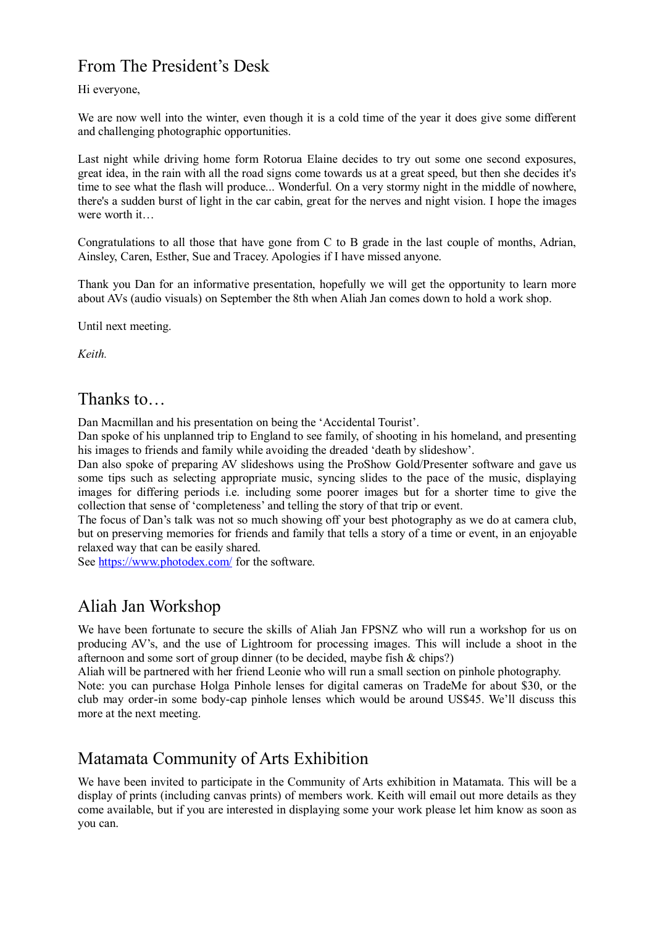# From The President's Desk

#### Hi everyone,

We are now well into the winter, even though it is a cold time of the year it does give some different and challenging photographic opportunities.

Last night while driving home form Rotorua Elaine decides to try out some one second exposures, great idea, in the rain with all the road signs come towards us at a great speed, but then she decides it's time to see what the flash will produce... Wonderful. On a very stormy night in the middle of nowhere, there's a sudden burst of light in the car cabin, great for the nerves and night vision. I hope the images were worth it…

Congratulations to all those that have gone from C to B grade in the last couple of months, Adrian, Ainsley, Caren, Esther, Sue and Tracey. Apologies if I have missed anyone.

Thank you Dan for an informative presentation, hopefully we will get the opportunity to learn more about AVs (audio visuals) on September the 8th when Aliah Jan comes down to hold a work shop.

Until next meeting.

*Keith.*

#### Thanks to…

Dan Macmillan and his presentation on being the 'Accidental Tourist'.

Dan spoke of his unplanned trip to England to see family, of shooting in his homeland, and presenting his images to friends and family while avoiding the dreaded 'death by slideshow'.

Dan also spoke of preparing AV slideshows using the ProShow Gold/Presenter software and gave us some tips such as selecting appropriate music, syncing slides to the pace of the music, displaying images for differing periods i.e. including some poorer images but for a shorter time to give the collection that sense of 'completeness' and telling the story of that trip or event.

The focus of Dan's talk was not so much showing off your best photography as we do at camera club, but on preserving memories for friends and family that tells a story of a time or event, in an enjoyable relaxed way that can be easily shared.

See<https://www.photodex.com/> for the software.

## Aliah Jan Workshop

We have been fortunate to secure the skills of Aliah Jan FPSNZ who will run a workshop for us on producing AV's, and the use of Lightroom for processing images. This will include a shoot in the afternoon and some sort of group dinner (to be decided, maybe fish  $&$  chips?)

Aliah will be partnered with her friend Leonie who will run a small section on pinhole photography. Note: you can purchase Holga Pinhole lenses for digital cameras on TradeMe for about \$30, or the club may order-in some body-cap pinhole lenses which would be around US\$45. We'll discuss this more at the next meeting.

## Matamata Community of Arts Exhibition

We have been invited to participate in the Community of Arts exhibition in Matamata. This will be a display of prints (including canvas prints) of members work. Keith will email out more details as they come available, but if you are interested in displaying some your work please let him know as soon as you can.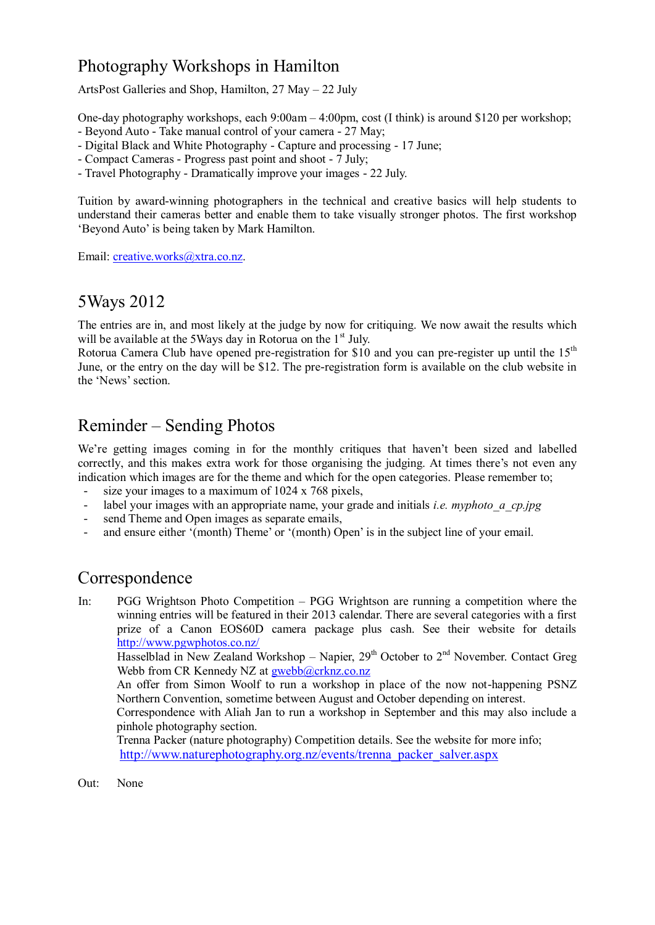# Photography Workshops in Hamilton

ArtsPost Galleries and Shop, Hamilton, 27 May – 22 July

One-day photography workshops, each 9:00am – 4:00pm, cost (I think) is around \$120 per workshop; - Beyond Auto - Take manual control of your camera - 27 May;

- Digital Black and White Photography Capture and processing 17 June;
- Compact Cameras Progress past point and shoot 7 July;
- Travel Photography Dramatically improve your images 22 July.

Tuition by award-winning photographers in the technical and creative basics will help students to understand their cameras better and enable them to take visually stronger photos. The first workshop 'Beyond Auto' is being taken by Mark Hamilton.

Email: [creative.works@xtra.co.nz.](mailto:creative.works@xtra.co.nz)

## 5Ways 2012

The entries are in, and most likely at the judge by now for critiquing. We now await the results which will be available at the 5Ways day in Rotorua on the  $1<sup>st</sup>$  July.

Rotorua Camera Club have opened pre-registration for \$10 and you can pre-register up until the  $15<sup>th</sup>$ June, or the entry on the day will be \$12. The pre-registration form is available on the club website in the 'News' section.

## Reminder – Sending Photos

We're getting images coming in for the monthly critiques that haven't been sized and labelled correctly, and this makes extra work for those organising the judging. At times there's not even any indication which images are for the theme and which for the open categories. Please remember to;

- size your images to a maximum of  $1024 \times 768$  pixels,
- label your images with an appropriate name, your grade and initials *i.e. myphoto a cp.jpg*
- send Theme and Open images as separate emails,
- and ensure either '(month) Theme' or '(month) Open' is in the subject line of your email.

## Correspondence

In: PGG Wrightson Photo Competition – PGG Wrightson are running a competition where the winning entries will be featured in their 2013 calendar. There are several categories with a first prize of a Canon EOS60D camera package plus cash. See their website for details <http://www.pgwphotos.co.nz/>

Hasselblad in New Zealand Workshop – Napier,  $29<sup>th</sup>$  October to  $2<sup>nd</sup>$  November. Contact Greg Webb from CR Kennedy NZ at [gwebb@crknz.co.nz](mailto:gwebb@crknz.co.nz)

An offer from Simon Woolf to run a workshop in place of the now not-happening PSNZ Northern Convention, sometime between August and October depending on interest.

Correspondence with Aliah Jan to run a workshop in September and this may also include a pinhole photography section.

Trenna Packer (nature photography) Competition details. See the website for more info; [http://www.naturephotography.org.nz/events/trenna\\_packer\\_salver.aspx](http://www.naturephotography.org.nz/events/trenna_packer_salver.aspx)

Out: None